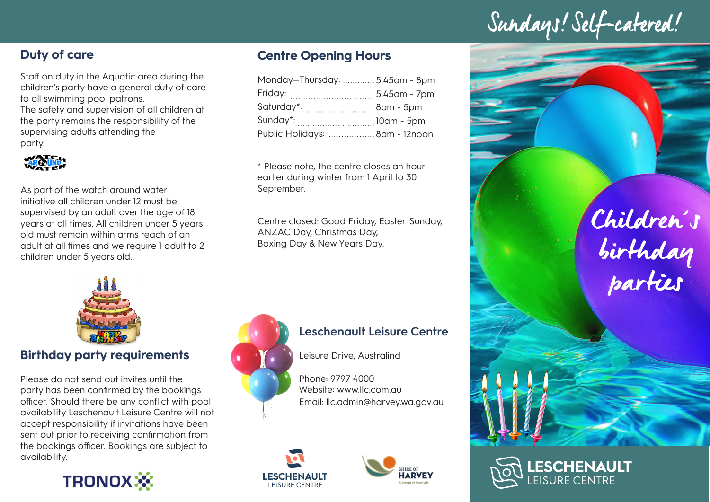# Sundays! Self-catered!

# **Duty of care**

Staff on duty in the Aquatic area during the children's party have a general duty of care to all swimming pool patrons. The safety and supervision of all children at the party remains the responsibility of the

supervising adults attending the party.



As part of the watch around water initiative all children under 12 must be supervised by an adult over the age of 18 years at all times. All children under 5 years old must remain within arms reach of an adult at all times and we require 1 adult to 2 children under 5 years old.

# **Centre Opening Hours**

| Monday-Thursday:  5.45am - 8pm |  |
|--------------------------------|--|
|                                |  |
| Saturday*: 8am - 5pm           |  |
| Sunday*:  10am - 5pm           |  |
| Public Holidays:  8am - 12noon |  |

\* Please note, the centre closes an hour earlier during winter from 1 April to 30 September.

Centre closed: Good Friday, Easter Sunday, ANZAC Day, Christmas Day, Boxing Day & New Years Day.



## **Birthday party requirements**

Please do not send out invites until the party has been confirmed by the bookings officer. Should there be any conflict with pool availability Leschenault Leisure Centre will not accept responsibility if invitations have been sent out prior to receiving confirmation from the bookings officer. Bookings are subject to availability.





#### **Leschenault Leisure Centre**

Leisure Drive, Australind

Phone: 9797 4000 Website: www.llc.com.au Email: llc.admin@harvey.wa.gov.au





Children's birthday parties